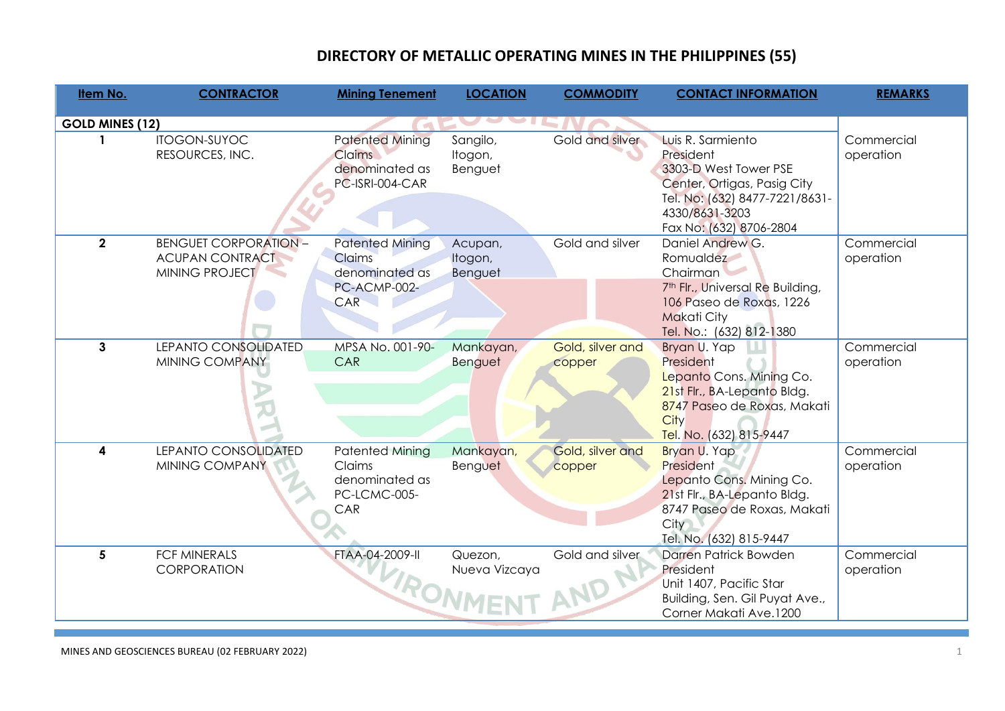| Item No.        | <b>CONTRACTOR</b>                                                        | <b>Mining Tenement</b>                                                           | <b>LOCATION</b>                | <b>COMMODITY</b>           | <b>CONTACT INFORMATION</b>                                                                                                                                              | <b>REMARKS</b>          |
|-----------------|--------------------------------------------------------------------------|----------------------------------------------------------------------------------|--------------------------------|----------------------------|-------------------------------------------------------------------------------------------------------------------------------------------------------------------------|-------------------------|
|                 |                                                                          |                                                                                  |                                |                            |                                                                                                                                                                         |                         |
| GOLD MINES (12) | <b>ITOGON-SUYOC</b><br>RESOURCES, INC.                                   | <b>Patented Mining</b><br>Claims<br>denominated as<br>PC-ISRI-004-CAR            | Sangilo,<br>Itogon,<br>Benguet | Gold and silver            | Luis R. Sarmiento<br>President<br>3303-D West Tower PSE<br>Center, Ortigas, Pasig City<br>Tel. No: (632) 8477-7221/8631-<br>4330/8631-3203<br>Fax No: (632) 8706-2804   | Commercial<br>operation |
| $\mathbf{2}$    | <b>BENGUET CORPORATION -</b><br><b>ACUPAN CONTRACT</b><br>MINING PROJECT | <b>Patented Mining</b><br><b>Claims</b><br>denominated as<br>PC-ACMP-002-<br>CAR | Acupan,<br>Itogon,<br>Benguet  | Gold and silver            | Daniel Andrew G.<br>Romualdez<br>Chairman<br>7 <sup>th</sup> Flr., Universal Re Building,<br>106 Paseo de Roxas, 1226<br><b>Makati City</b><br>Tel. No.: (632) 812-1380 | Commercial<br>operation |
| $\mathbf{3}$    | LEPANTO CONSOLIDATED<br>MINING COMPANY                                   | MPSA No. 001-90-<br>CAR                                                          | Mankayan,<br><b>Benguet</b>    | Gold, silver and<br>copper | Bryan U. Yap<br>President<br>Lepanto Cons. Mining Co.<br>21st Flr., BA-Lepanto Bldg.<br>8747 Paseo de Roxas, Makati<br>City<br>Tel. No. (632) 815-9447                  | Commercial<br>operation |
| 4               | LEPANTO CONSOLIDATED<br>MINING COMPANY                                   | <b>Patented Mining</b><br>Claims<br>denominated as<br>PC-LCMC-005-<br>CAR        | Mankayan,<br><b>Benguet</b>    | Gold, silver and<br>copper | Bryan U. Yap<br>President<br>Lepanto Cons. Mining Co.<br>21st Flr., BA-Lepanto Bldg.<br>8747 Paseo de Roxas, Makati<br>City<br>Tel. No. (632) 815-9447                  | Commercial<br>operation |
| $5\phantom{.0}$ | <b>FCF MINERALS</b><br>CORPORATION                                       | FTAA-04-2009-II<br>VIRON'                                                        | Quezon,<br>Nueva Vizcaya       | Gold and silver            | Darren Patrick Bowden<br>President<br>Unit 1407, Pacific Star<br>Building, Sen. Gil Puyat Ave.,<br>Corner Makati Ave.1200                                               | Commercial<br>operation |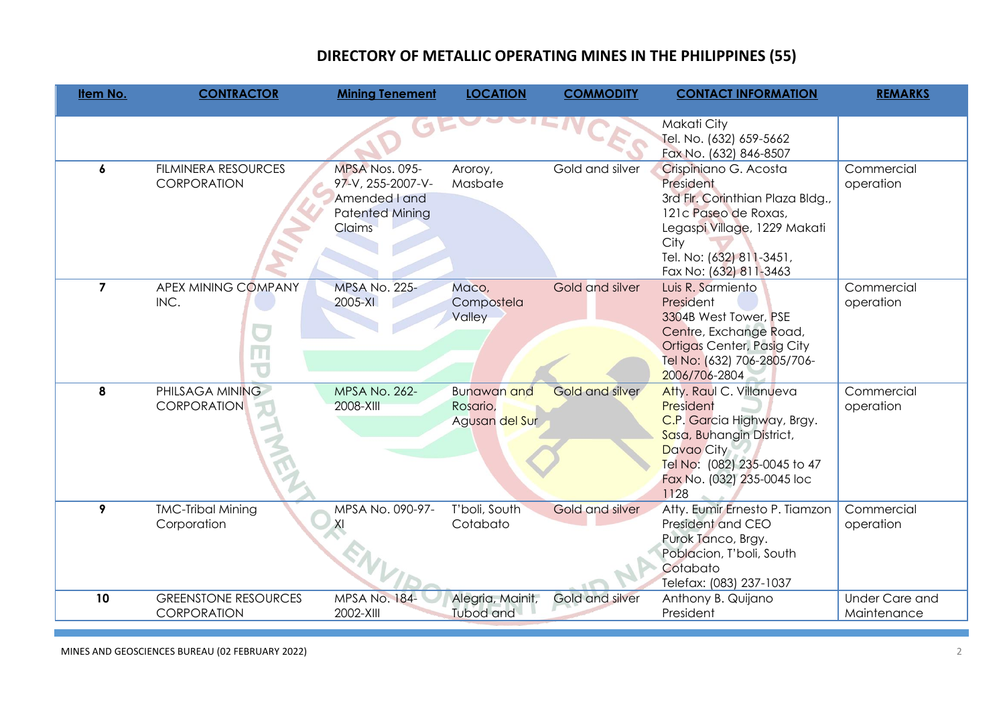| Item No.       | <b>CONTRACTOR</b>                                           | <b>Mining Tenement</b>                                                                   | <b>LOCATION</b>                                  | <b>COMMODITY</b>       | <b>CONTACT INFORMATION</b>                                                                                                                                                                   | <b>REMARKS</b>                       |
|----------------|-------------------------------------------------------------|------------------------------------------------------------------------------------------|--------------------------------------------------|------------------------|----------------------------------------------------------------------------------------------------------------------------------------------------------------------------------------------|--------------------------------------|
|                |                                                             |                                                                                          |                                                  |                        | Makati City<br>Tel. No. (632) 659-5662<br>Fax No. (632) 846-8507                                                                                                                             |                                      |
| 6              | <b>FILMINERA RESOURCES</b><br>CORPORATION                   | MPSA Nos. 095-<br>97-V, 255-2007-V-<br>Amended I and<br><b>Patented Mining</b><br>Claims | Aroroy,<br>Masbate                               | Gold and silver        | Crispiniano G. Acosta<br>President<br>3rd Flr. Corinthian Plaza Bldg.,<br>121c Paseo de Roxas,<br>Legaspi Village, 1229 Makati<br>City<br>Tel. No: (632) 811-3451,<br>Fax No: (632) 811-3463 | Commercial<br>operation              |
| $\overline{ }$ | APEX MINING COMPANY<br>INC.<br>m<br>$\overline{\mathbf{U}}$ | <b>MPSA No. 225-</b><br>2005-XI                                                          | Maco,<br>Compostela<br>Valley                    | Gold and silver        | Luis R. Sarmiento<br>President<br>3304B West Tower, PSE<br>Centre, Exchange Road,<br>Ortigas Center, Pasig City<br>Tel No: (632) 706-2805/706-<br>2006/706-2804                              | Commercial<br>operation              |
| 8              | PHILSAGA MINING<br><b>CORPORATION</b>                       | <b>MPSA No. 262-</b><br>2008-XIII                                                        | <b>Bunawan</b> and<br>Rosario,<br>Agusan del Sur | <b>Gold and silver</b> | Atty. Raul C. Villanueva<br>President<br>C.P. Garcia Highway, Brgy.<br>Sasa, Buhangin District,<br>Davao City<br>Tel No: (082) 235-0045 to 47<br>Fax No. (032) 235-0045 loc<br>1128          | Commercial<br>operation              |
| 9              | <b>TMC-Tribal Mining</b><br>Corporation                     | MPSA No. 090-97-<br>XI                                                                   | T'boli, South<br>Cotabato                        | <b>Gold and silver</b> | Atty. Eumir Ernesto P. Tiamzon<br>President and CEO<br>Purok Tanco, Brgy.<br>Poblacion, T'boli, South<br>Cotabato<br>Telefax: (083) 237-1037                                                 | Commercial<br>operation              |
| 10             | <b>GREENSTONE RESOURCES</b><br>CORPORATION                  | <b>MPSA No. 184-</b><br>2002-XIII                                                        | Alegria, Mainit,<br>Tubod and                    | Gold and silver        | Anthony B. Quijano<br>President                                                                                                                                                              | <b>Under Care and</b><br>Maintenance |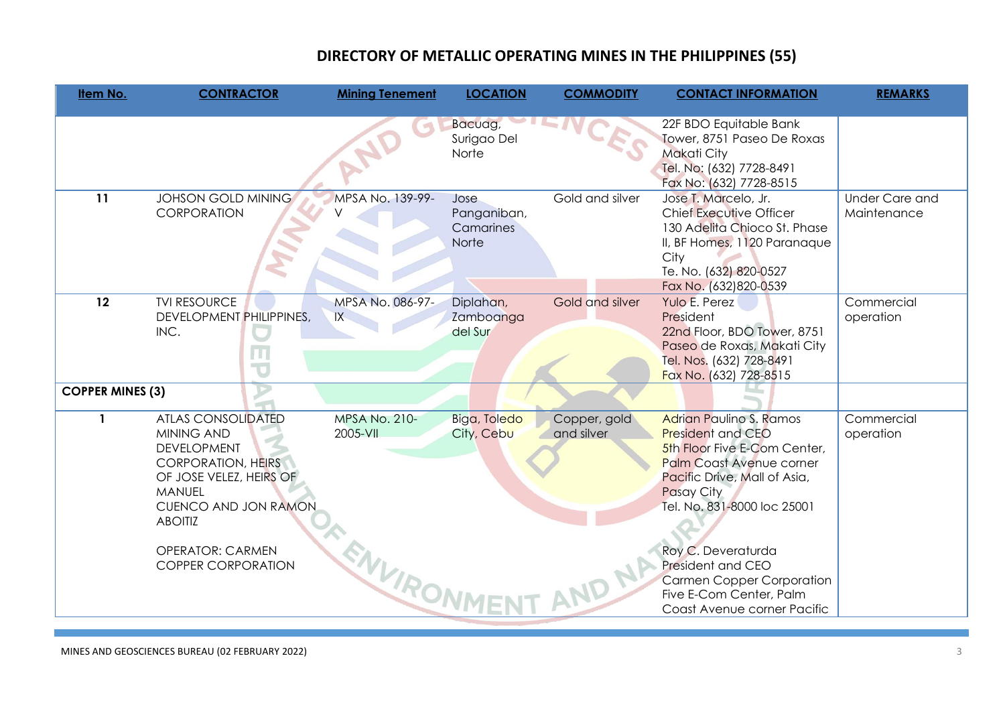| Item No.                | <b>CONTRACTOR</b>                                                                                                                                                                                                          | <b>Mining Tenement</b>           | <b>LOCATION</b>                           | <b>COMMODITY</b>           | <b>CONTACT INFORMATION</b>                                                                                                                                                                                                                            | <b>REMARKS</b>                       |
|-------------------------|----------------------------------------------------------------------------------------------------------------------------------------------------------------------------------------------------------------------------|----------------------------------|-------------------------------------------|----------------------------|-------------------------------------------------------------------------------------------------------------------------------------------------------------------------------------------------------------------------------------------------------|--------------------------------------|
|                         |                                                                                                                                                                                                                            |                                  | Bacuag,<br>Surigao Del<br>Norte           |                            | 22F BDO Equitable Bank<br>Tower, 8751 Paseo De Roxas<br><b>Makati City</b><br>Tel. No: (632) 7728-8491<br>Fax No: (632) 7728-8515                                                                                                                     |                                      |
| 11                      | <b>JOHSON GOLD MINING</b><br>CORPORATION                                                                                                                                                                                   | MPSA No. 139-99-                 | Jose<br>Panganiban,<br>Camarines<br>Norte | Gold and silver            | Jose T. Marcelo, Jr.<br><b>Chief Executive Officer</b><br>130 Adelita Chioco St. Phase<br>II, BF Homes, 1120 Paranaque<br>City<br>Te. No. (632) 820-0527<br>Fax No. (632)820-0539                                                                     | <b>Under Care and</b><br>Maintenance |
| 12                      | <b>TVI RESOURCE</b><br>DEVELOPMENT PHILIPPINES,<br>INC.<br>Ш<br>$\overline{\mathbf{U}}$                                                                                                                                    | MPSA No. 086-97-<br>IX           | Diplahan,<br>Zamboanga<br>del Sur         | Gold and silver            | Yulo E. Perez<br>President<br>22nd Floor, BDO Tower, 8751<br>Paseo de Roxas, Makati City<br>Tel. Nos. (632) 728-8491<br>Fax No. (632) 728-8515                                                                                                        | Commercial<br>operation              |
| <b>COPPER MINES (3)</b> |                                                                                                                                                                                                                            |                                  |                                           |                            |                                                                                                                                                                                                                                                       |                                      |
| 1                       | <b>ATLAS CONSOLIDATED</b><br>MINING AND<br><b>DEVELOPMENT</b><br><b>CORPORATION, HEIRS</b><br>OF JOSE VELEZ, HEIRS OF<br>MANUEL<br>CUENCO AND JON RAMON<br><b>ABOITIZ</b><br>OPERATOR: CARMEN<br><b>COPPER CORPORATION</b> | <b>MPSA No. 210-</b><br>2005-VII | Biga, Toledo<br>City, Cebu                | Copper, gold<br>and silver | Adrian Paulino S. Ramos<br><b>President and CEO</b><br>5th Floor Five E-Com Center,<br><b>Palm Coast Avenue corner</b><br>Pacific Drive, Mall of Asia,<br><b>Pasay City</b><br>Tel. No. 831-8000 loc 25001<br>Roy C. Deveraturda<br>President and CEO | Commercial<br>operation              |
|                         |                                                                                                                                                                                                                            | ENVIRONMEY                       |                                           |                            | <b>Carmen Copper Corporation</b><br>Five E-Com Center, Palm<br>Coast Avenue corner Pacific                                                                                                                                                            |                                      |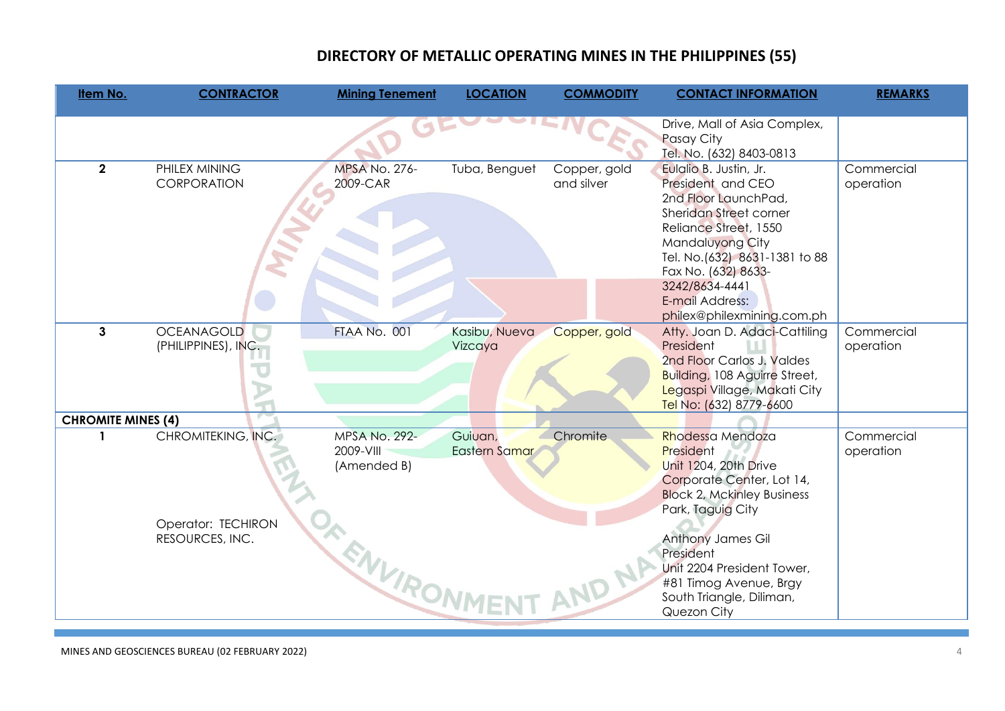| Item No.                  | <b>CONTRACTOR</b>                     | <b>Mining Tenement</b>                           | <b>LOCATION</b>          | <b>COMMODITY</b>           | <b>CONTACT INFORMATION</b>                                                                                                                                                                                                                                             | <b>REMARKS</b>          |
|---------------------------|---------------------------------------|--------------------------------------------------|--------------------------|----------------------------|------------------------------------------------------------------------------------------------------------------------------------------------------------------------------------------------------------------------------------------------------------------------|-------------------------|
|                           |                                       |                                                  |                          |                            | Drive, Mall of Asia Complex,<br>Pasay City<br>Tel. No. (632) 8403-0813                                                                                                                                                                                                 |                         |
| $\overline{2}$            | PHILEX MINING<br>CORPORATION          | <b>MPSA No. 276-</b><br>2009-CAR                 | Tuba, Benguet            | Copper, gold<br>and silver | Eulalio B. Justin, Jr.<br>President and CEO<br>2nd Floor LaunchPad,<br>Sheridan Street corner<br>Reliance Street, 1550<br>Mandaluyong City<br>Tel. No. (632) 8631-1381 to 88<br>Fax No. (632) 8633-<br>3242/8634-4441<br>E-mail Address:<br>philex@philexmining.com.ph | Commercial<br>operation |
| 3                         | OCEANAGOLD<br>(PHILIPPINES), INC.     | FTAA No. 001                                     | Kasibu, Nueva<br>Vizcaya | Copper, gold               | Atty. Joan D. Adaci-Cattiling<br>President<br>2nd Floor Carlos J. Valdes<br><b>Building</b> , 108 Aguirre Street,<br>Legaspi Village, Makati City<br>Tel No: (632) 8779-6600                                                                                           | Commercial<br>operation |
| <b>CHROMITE MINES (4)</b> |                                       |                                                  |                          |                            |                                                                                                                                                                                                                                                                        |                         |
|                           | CHROMITEKING, INC.                    | <b>MPSA No. 292-</b><br>2009-VIII<br>(Amended B) | Guiuan,<br>Eastern Samar | Chromite                   | Rhodessa Mendoza<br>President<br>Unit 1204, 20th Drive<br>Corporate Center, Lot 14,<br><b>Block 2, Mckinley Business</b><br>Park, Taguig City                                                                                                                          | Commercial<br>operation |
|                           | Operator: TECHIRON<br>RESOURCES, INC. | ENVIRONI                                         |                          |                            | Anthony James Gil<br>President<br>Unit 2204 President Tower,<br>#81 Timog Avenue, Brgy<br>South Triangle, Diliman,<br>Quezon City                                                                                                                                      |                         |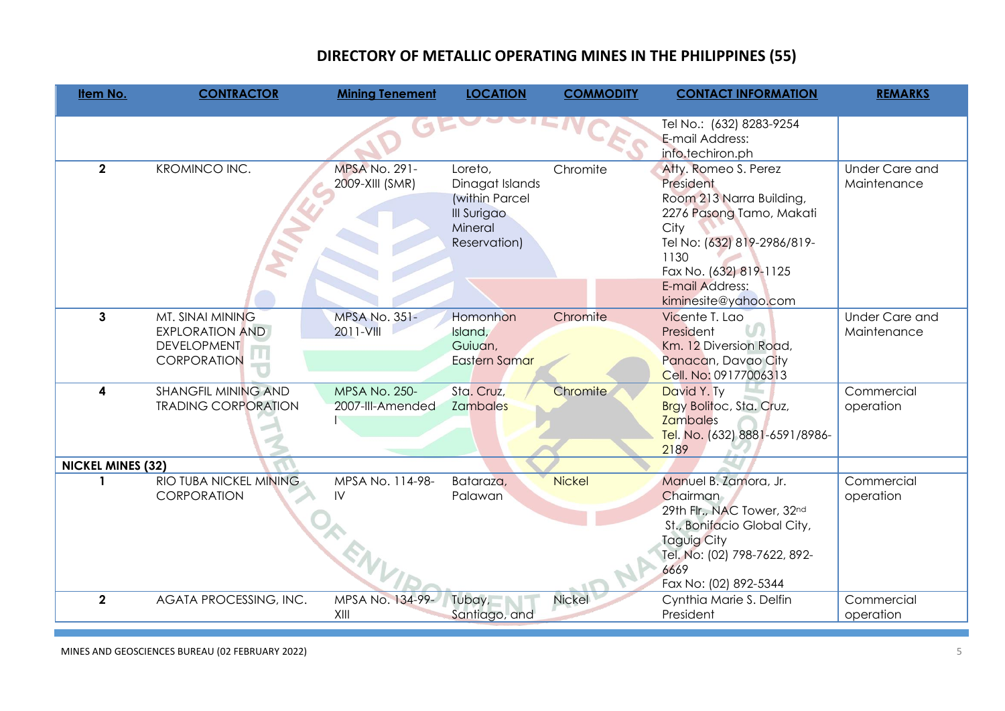| Item No.                 | <b>CONTRACTOR</b>                                                                      | <b>Mining Tenement</b>                   | <b>LOCATION</b>                                                                        | <b>COMMODITY</b> | <b>CONTACT INFORMATION</b>                                                                                                                                                                                    | <b>REMARKS</b>                       |
|--------------------------|----------------------------------------------------------------------------------------|------------------------------------------|----------------------------------------------------------------------------------------|------------------|---------------------------------------------------------------------------------------------------------------------------------------------------------------------------------------------------------------|--------------------------------------|
|                          |                                                                                        |                                          |                                                                                        |                  | Tel No.: (632) 8283-9254<br>E-mail Address:<br>info.techiron.ph                                                                                                                                               |                                      |
| $\mathbf{2}$             | <b>KROMINCO INC.</b>                                                                   | <b>MPSA No. 291-</b><br>2009-XIII (SMR)  | Loreto,<br>Dinagat Islands<br>(within Parcel<br>III Surigao<br>Mineral<br>Reservation) | Chromite         | Atty. Romeo S. Perez<br>President<br>Room 213 Narra Building,<br>2276 Pasong Tamo, Makati<br>City<br>Tel No: (632) 819-2986/819-<br>1130<br>Fax No. (632) 819-1125<br>E-mail Address:<br>kiminesite@yahoo.com | <b>Under Care and</b><br>Maintenance |
| 3                        | MT. SINAI MINING<br><b>EXPLORATION AND</b><br><b>DEVELOPMENT</b><br><b>CORPORATION</b> | <b>MPSA No. 351-</b><br>2011-VIII        | Homonhon<br>Island,<br>Guiuan,<br>Eastern Samar                                        | Chromite         | Vicente T. Lao<br>President<br>Km. 12 Diversion Road,<br>Panacan, Davao City<br>Cell. No: 09177006313                                                                                                         | <b>Under Care and</b><br>Maintenance |
| 4                        | <b>SHANGFIL MINING AND</b><br><b>TRADING CORPORATION</b>                               | <b>MPSA No. 250-</b><br>2007-III-Amended | Sta. Cruz,<br><b>Zambales</b>                                                          | Chromite         | David Y. Ty<br>Brgy Bolitoc, Sta. Cruz,<br><b>Zambales</b><br>Tel. No. (632) 8881-6591/8986-<br>2189                                                                                                          | Commercial<br>operation              |
| <b>NICKEL MINES (32)</b> |                                                                                        |                                          |                                                                                        |                  |                                                                                                                                                                                                               |                                      |
|                          | RIO TUBA NICKEL MINING<br><b>CORPORATION</b>                                           | MPSA No. 114-98-<br>IV                   | Bataraza,<br>Palawan                                                                   | <b>Nickel</b>    | Manuel B. Zamora, Jr.<br>Chairman<br>29th Flr., NAC Tower, 32nd<br>St., Bonifacio Global City,<br><b>Taguig City</b><br>Tel. No: (02) 798-7622, 892-<br>6669<br>Fax No: (02) 892-5344                         | Commercial<br>operation              |
| $\mathbf{2}$             | AGATA PROCESSING, INC.                                                                 | MPSA No. 134-99-<br>XIII                 | Tubay,<br>Santiago, and                                                                | Nickel           | Cynthia Marie S. Delfin<br>President                                                                                                                                                                          | Commercial<br>operation              |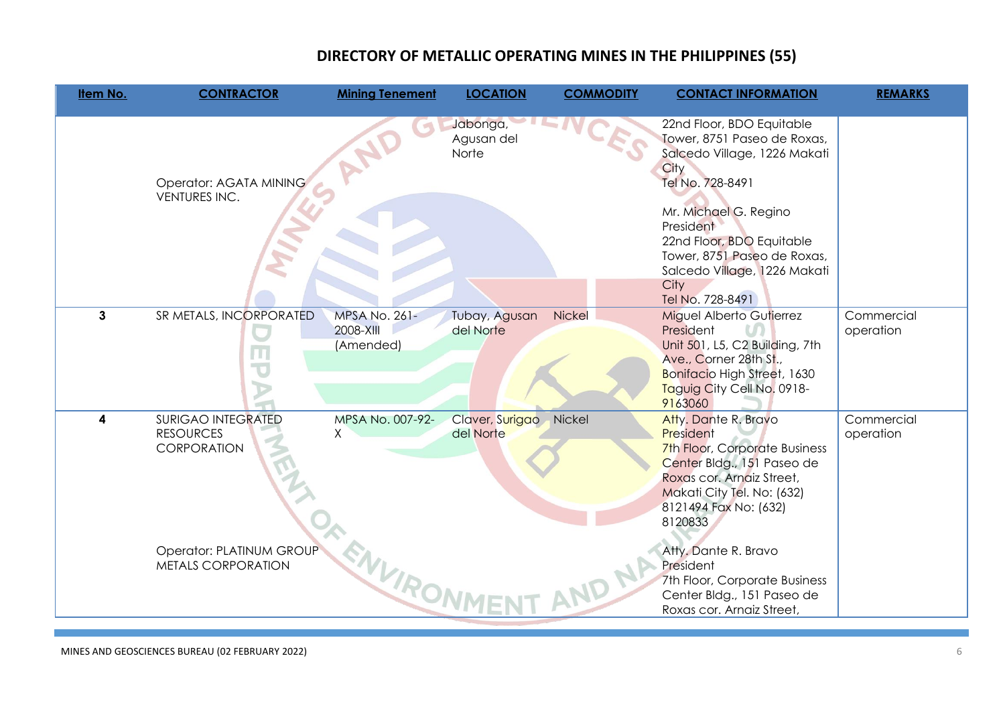| Item No.     | <b>CONTRACTOR</b>                                            | <b>Mining Tenement</b>                         | <b>LOCATION</b>                 | <b>COMMODITY</b> | <b>CONTACT INFORMATION</b>                                                                                                                                                                                                                                                         | <b>REMARKS</b>          |
|--------------|--------------------------------------------------------------|------------------------------------------------|---------------------------------|------------------|------------------------------------------------------------------------------------------------------------------------------------------------------------------------------------------------------------------------------------------------------------------------------------|-------------------------|
|              | Operator: AGATA MINING<br>VENTURES INC.                      |                                                | Jabonga,<br>Agusan del<br>Norte |                  | 22nd Floor, BDO Equitable<br>Tower, 8751 Paseo de Roxas,<br>Salcedo Village, 1226 Makati<br>City<br>Tel No. 728-8491<br>Mr. Michael G. Regino<br>President<br>22nd Floor, BDO Equitable<br>Tower, 8751 Paseo de Roxas,<br>Salcedo Village, 1226 Makati<br>City<br>Tel No. 728-8491 |                         |
| $\mathbf{3}$ | SR METALS, INCORPORATED<br>m                                 | <b>MPSA No. 261-</b><br>2008-XIII<br>(Amended) | Tubay, Agusan<br>del Norte      | <b>Nickel</b>    | Miguel Alberto Gutierrez<br>President<br>Unit 501, L5, C2 Building, 7th<br>Ave., Corner 28th St.,<br><b>Bonifacio High Street, 1630</b><br>Taguig City Cell No. 0918-<br>9163060                                                                                                   | Commercial<br>operation |
| 4            | <b>SURIGAO INTEGRATED</b><br><b>RESOURCES</b><br>CORPORATION | MPSA No. 007-92-<br>X.                         | Claver, Surigao<br>del Norte    | Nickel           | Atty. Dante R. Bravo<br>President<br>7th Floor, Corporate Business<br>Center Bldg., 151 Paseo de<br>Roxas cor. Arnaiz Street,<br>Makati City Tel. No: (632)<br>8121494 Fax No: (632)<br>8120833                                                                                    | Commercial<br>operation |
|              | Operator: PLATINUM GROUP<br>METALS CORPORATION               | WVIRONM                                        |                                 |                  | Atty. Dante R. Bravo<br>President<br>7th Floor, Corporate Business<br>Center Bldg., 151 Paseo de<br>Roxas cor. Arnaiz Street,                                                                                                                                                      |                         |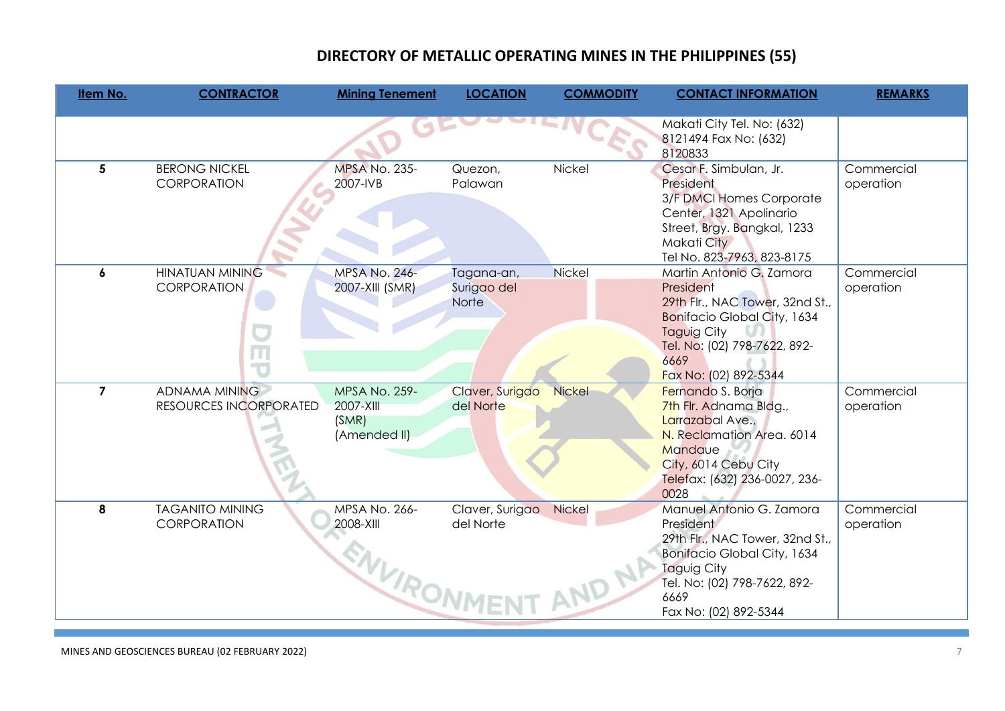| Item No.       | <b>CONTRACTOR</b>                                   | <b>Mining Tenement</b>                                     | <b>LOCATION</b>                           | <b>COMMODITY</b> | <b>CONTACT INFORMATION</b>                                                                                                                                                                            | <b>REMARKS</b>          |
|----------------|-----------------------------------------------------|------------------------------------------------------------|-------------------------------------------|------------------|-------------------------------------------------------------------------------------------------------------------------------------------------------------------------------------------------------|-------------------------|
|                |                                                     |                                                            |                                           |                  | Makati City Tel. No: (632)<br>8121494 Fax No: (632)<br>8120833                                                                                                                                        |                         |
| 5              | <b>BERONG NICKEL</b><br>CORPORATION                 | <b>MPSA No. 235-</b><br>2007-IVB                           | Quezon,<br>Palawan                        | Nickel           | Cesar F. Simbulan, Jr.<br>President<br>3/F DMCI Homes Corporate<br>Center, 1321 Apolinario<br>Street, Brgy. Bangkal, 1233<br>Makati City<br>Tel No. 823-7963, 823-8175                                | Commercial<br>operation |
| 6              | HINATUAN MINING<br>CORPORATION<br>$\overline{\Box}$ | <b>MPSA No. 246-</b><br>2007-XIII (SMR)                    | Tagana-an,<br>Surigao del<br><b>Norte</b> | <b>Nickel</b>    | Martin Antonio G. Zamora<br>President<br>29th Flr., NAC Tower, 32nd St.,<br><b>Bonifacio Global City, 1634</b><br><b>Taguig City</b><br>Tel. No: (02) 798-7622, 892-<br>6669<br>Fax No: (02) 892-5344 | Commercial<br>operation |
| $\overline{7}$ | <b>ADNAMA MINING</b><br>RESOURCES INCORPORATED      | <b>MPSA No. 259-</b><br>2007-XIII<br>(SMR)<br>(Amended II) | Claver, Surigao<br>del Norte              | <b>Nickel</b>    | Fernando S. Borja<br>7th Fir. Adnama Bidg.,<br>Larrazabal Ave.,<br>N. Reclamation Area. 6014<br>Mandaue<br>City, 6014 Cebu City<br>Telefax: (632) 236-0027, 236-<br>0028                              | Commercial<br>operation |
| 8              | <b>TAGANITO MINING</b><br>CORPORATION               | MPSA No. 266-<br>2008-XIII<br>ENVIRONI                     | Claver, Surigao<br>del Norte              | <b>Nickel</b>    | Manuel Antonio G. Zamora<br>President<br>29th Flr., NAC Tower, 32nd St.,<br>Bonifacio Global City, 1634<br><b>Taguig City</b><br>Tel. No: (02) 798-7622, 892-<br>6669<br>Fax No: (02) 892-5344        | Commercial<br>operation |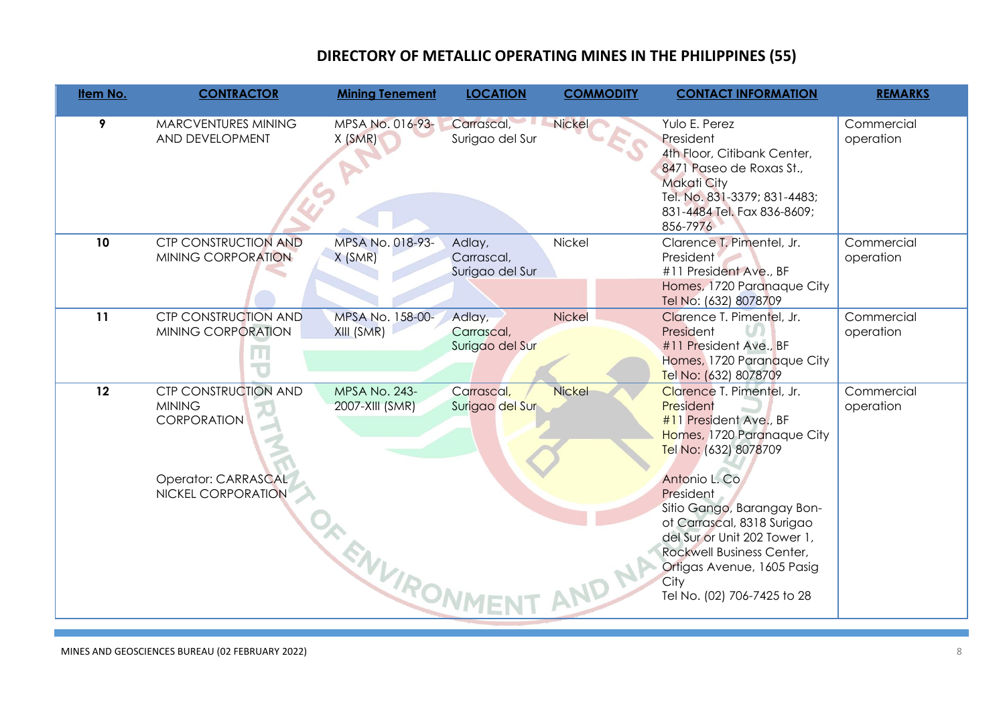| Item No. | <b>CONTRACTOR</b>                                                                                        | <b>Mining Tenement</b>                                 | <b>LOCATION</b>                         | <b>COMMODITY</b> | <b>CONTACT INFORMATION</b>                                                                                                                                                                                                                                                                                                                             | <b>REMARKS</b>          |
|----------|----------------------------------------------------------------------------------------------------------|--------------------------------------------------------|-----------------------------------------|------------------|--------------------------------------------------------------------------------------------------------------------------------------------------------------------------------------------------------------------------------------------------------------------------------------------------------------------------------------------------------|-------------------------|
| 9        | MARCVENTURES MINING<br>AND DEVELOPMENT                                                                   | MPSA No. 016-93-<br>X(SMR)                             | Carrascal,<br>Surigao del Sur           | Nickel           | Yulo E. Perez<br>President<br>4th Floor, Citibank Center,<br>8471 Paseo de Roxas St.,<br><b>Makati City</b><br>Tel. No. 831-3379; 831-4483;<br>831-4484 Tel. Fax 836-8609;<br>856-7976                                                                                                                                                                 | Commercial<br>operation |
| 10       | <b>CTP CONSTRUCTION AND</b><br>MINING CORPORATION                                                        | MPSA No. 018-93-<br>X (SMR)                            | Adlay,<br>Carrascal,<br>Surigao del Sur | Nickel           | Clarence T. Pimentel, Jr.<br>President<br>#11 President Ave., BF<br>Homes, 1720 Paranaque City<br>Tel No: (632) 8078709                                                                                                                                                                                                                                | Commercial<br>operation |
| 11       | <b>CTP CONSTRUCTION AND</b><br>MINING CORPORATION<br>ш                                                   | MPSA No. 158-00-<br>XIII (SMR)                         | Adlay,<br>Carrascal,<br>Surigao del Sur | <b>Nickel</b>    | Clarence T. Pimentel, Jr.<br>President<br>#11 President Ave., BF<br>Homes, 1720 Paranaque City<br>Tel No: (632) 8078709                                                                                                                                                                                                                                | Commercial<br>operation |
| 12       | CTP CONSTRUCTION AND<br><b>MINING</b><br><b>CORPORATION</b><br>Operator: CARRASCAL<br>NICKEL CORPORATION | MPSA No. 243-<br>2007-XIII (SMR)<br><b>KENVIRONMEY</b> | Carrascal,<br>Surigao del Sur           | <b>Nickel</b>    | Clarence T. Pimentel, Jr.<br>President<br>$#11$ President Ave., BF<br>Homes, 1720 Paranaque City<br>Tel No: (632) 8078709<br>Antonio L. Co.<br>President<br>Sitio Gango, Barangay Bon-<br>ot Carrascal, 8318 Surigao<br>del Sur or Unit 202 Tower 1,<br>Rockwell Business Center,<br>Ortigas Avenue, 1605 Pasig<br>City<br>Tel No. (02) 706-7425 to 28 | Commercial<br>operation |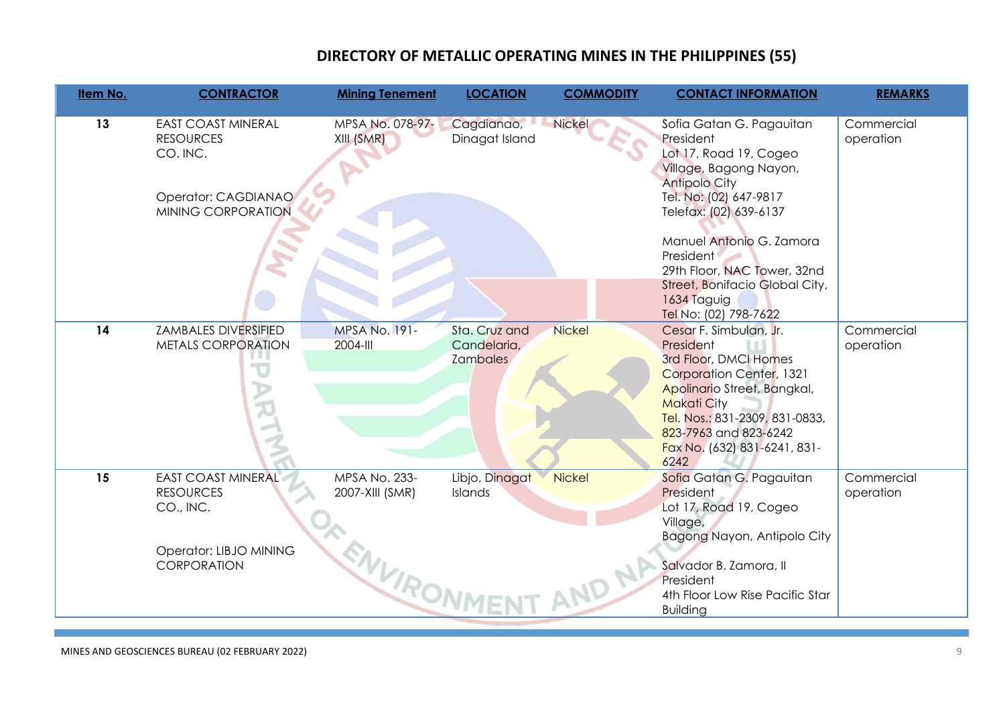| Item No. | <b>CONTRACTOR</b>                                                                  | <b>Mining Tenement</b>           | <b>LOCATION</b>                                 | <b>COMMODITY</b> | <b>CONTACT INFORMATION</b>                                                                                                                                                                                                                       | <b>REMARKS</b>          |
|----------|------------------------------------------------------------------------------------|----------------------------------|-------------------------------------------------|------------------|--------------------------------------------------------------------------------------------------------------------------------------------------------------------------------------------------------------------------------------------------|-------------------------|
| 13       | <b>EAST COAST MINERAL</b><br><b>RESOURCES</b><br>CO. INC.                          | MPSA No. 078-97-<br>XIII (SMR)   | Cagdianao,<br>Dinagat Island                    | Nickel           | Sofia Gatan G. Pagauitan<br>President<br>Lot 17, Road 19, Cogeo<br>Village, Bagong Nayon,<br><b>Antipolo City</b>                                                                                                                                | Commercial<br>operation |
|          | Operator: CAGDIANAO<br>MINING CORPORATION                                          |                                  |                                                 |                  | Tel. No: (02) 647-9817<br>Telefax: (02) 639-6137                                                                                                                                                                                                 |                         |
|          |                                                                                    |                                  |                                                 |                  | Manuel Antonio G. Zamora<br>President<br>29th Floor, NAC Tower, 32nd                                                                                                                                                                             |                         |
|          |                                                                                    |                                  |                                                 |                  | Street, Bonifacio Global City,<br>1634 Taguig<br>Tel No: (02) 798-7622                                                                                                                                                                           |                         |
| 14       | <b>ZAMBALES DIVERSIFIED</b><br>METALS CORPORATION<br>$\overline{\mathbf{C}}$<br>70 | <b>MPSA No. 191-</b><br>2004-III | Sta. Cruz and<br>Candelaria,<br><b>Zambales</b> | <b>Nickel</b>    | Cesar F. Simbulan, Jr.<br>President<br>3rd Floor, DMCI Homes<br>Corporation Center, 1321<br>Apolinario Street, Bangkal,<br><b>Makati City</b><br>Tel. Nos.: 831-2309, 831-0833,<br>823-7963 and 823-6242<br>Fax No. (632) 831-6241, 831-<br>6242 | Commercial<br>operation |
| 15       | <b>EAST COAST MINERAL</b><br><b>RESOURCES</b><br>CO., INC.                         | MPSA No. 233-<br>2007-XIII (SMR) | Libjo, Dinagat<br>Islands                       | <b>Nickel</b>    | Sofia Gatan G. Pagauitan<br>President<br>Lot 17, Road 19, Cogeo<br>Village,                                                                                                                                                                      | Commercial<br>operation |
|          | Operator: LIBJO MINING<br>CORPORATION                                              | ENVIRONMEY                       |                                                 |                  | Bagong Nayon, Antipolo City<br>Salvador B. Zamora, II<br>President<br>4th Floor Low Rise Pacific Star<br><b>Building</b>                                                                                                                         |                         |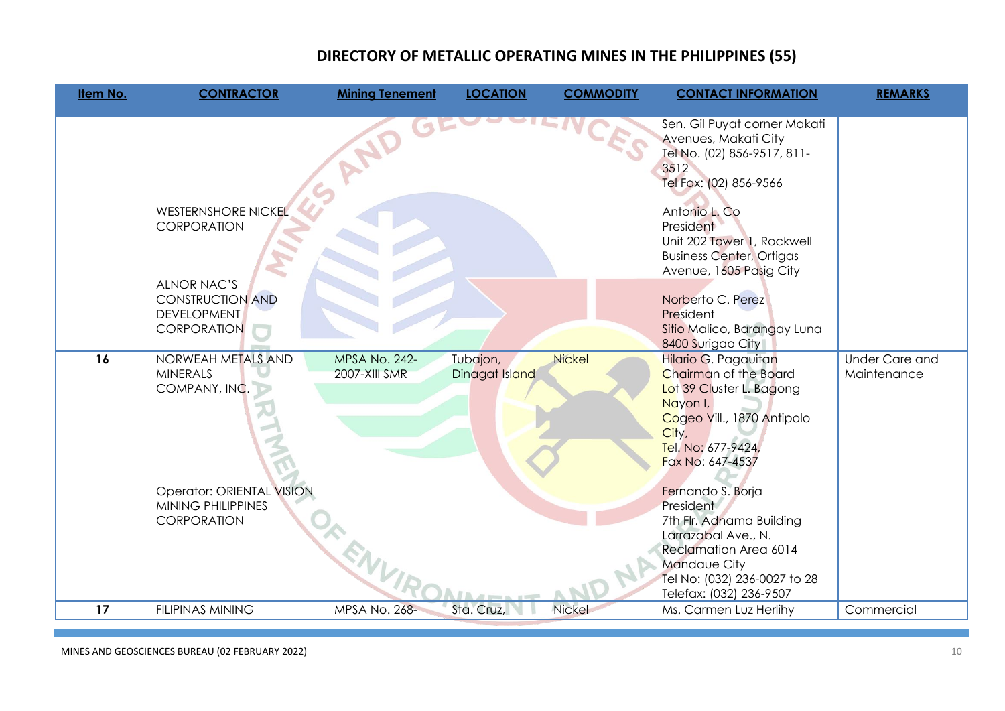| Item No. | <b>CONTRACTOR</b>                                                                                                                      | <b>Mining Tenement</b>                | <b>LOCATION</b>            | <b>COMMODITY</b> | <b>CONTACT INFORMATION</b>                                                                                                                                                                                                                                                                                                                                      | <b>REMARKS</b>                       |
|----------|----------------------------------------------------------------------------------------------------------------------------------------|---------------------------------------|----------------------------|------------------|-----------------------------------------------------------------------------------------------------------------------------------------------------------------------------------------------------------------------------------------------------------------------------------------------------------------------------------------------------------------|--------------------------------------|
|          | <b>WESTERNSHORE NICKEL</b><br>CORPORATION<br><b>ALNOR NAC'S</b><br><b>CONSTRUCTION AND</b><br><b>DEVELOPMENT</b><br><b>CORPORATION</b> |                                       |                            |                  | Sen. Gil Puyat corner Makati<br>Avenues, Makati City<br>Tel No. (02) 856-9517, 811-<br>3512<br>Tel Fax: (02) 856-9566<br>Antonio L. Co<br>President<br>Unit 202 Tower 1, Rockwell<br><b>Business Center, Ortigas</b><br>Avenue, 1605 Pasig City<br>Norberto C. Perez<br>President<br>Sitio Malico, Barangay Luna<br>8400 Surigao City                           |                                      |
| 16       | NORWEAH METALS AND<br><b>MINERALS</b><br>COMPANY, INC.<br>Operator: ORIENTAL VISION<br>MINING PHILIPPINES<br>CORPORATION               | <b>MPSA No. 242-</b><br>2007-XIII SMR | Tubajon,<br>Dinagat Island | <b>Nickel</b>    | Hilario G. Pagauitan<br>Chairman of the Board<br>Lot 39 Cluster L. Bagong<br>Nayon I,<br>Cogeo Vill., 1870 Antipolo<br>City,<br>Tel. No: 677-9424,<br>Fax No: 647-4537<br>Fernando S. Borja<br>President<br>7th Flr. Adnama Building<br>Larrazabal Ave., N.<br>Reclamation Area 6014<br>Mandaue City<br>Tel No: (032) 236-0027 to 28<br>Telefax: (032) 236-9507 | <b>Under Care and</b><br>Maintenance |
| 17       | <b>FILIPINAS MINING</b>                                                                                                                | MPSA No. 268-                         | Sta. Cruz,                 | Nickel           | Ms. Carmen Luz Herlihy                                                                                                                                                                                                                                                                                                                                          | Commercial                           |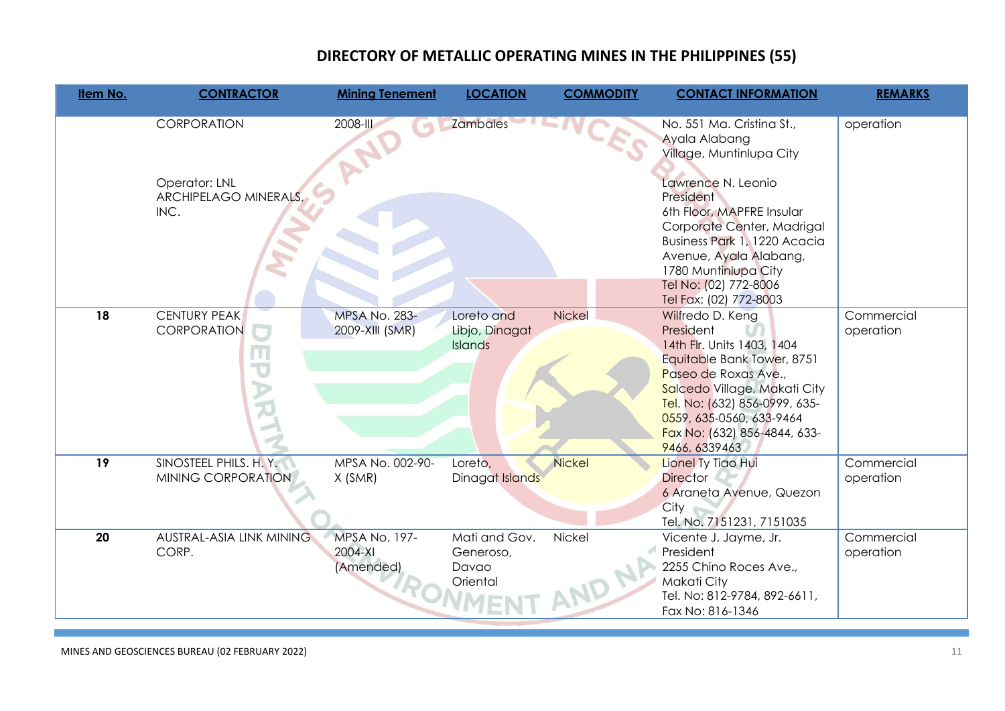| Item No. | <b>CONTRACTOR</b>                              | <b>Mining Tenement</b>                  | <b>LOCATION</b>                                 | <b>COMMODITY</b> | <b>CONTACT INFORMATION</b>                                                                                                                                                                                                                                      | <b>REMARKS</b>          |
|----------|------------------------------------------------|-----------------------------------------|-------------------------------------------------|------------------|-----------------------------------------------------------------------------------------------------------------------------------------------------------------------------------------------------------------------------------------------------------------|-------------------------|
|          | CORPORATION                                    | 2008-III                                | <b>Zambales</b>                                 |                  | No. 551 Ma. Cristina St.,<br>Ayala Alabang<br>Village, Muntinlupa City                                                                                                                                                                                          | operation               |
|          | Operator: LNL<br>ARCHIPELAGO MINERALS,<br>INC. |                                         |                                                 |                  | Lawrence N. Leonio<br>President<br>6th Floor, MAPFRE Insular<br>Corporate Center, Madrigal<br>Business Park 1, 1220 Acacia<br>Avenue, Ayala Alabang,<br>1780 Muntinlupa City<br>Tel No: (02) 772-8006<br>Tel Fax: (02) 772-8003                                 |                         |
| 18       | <b>CENTURY PEAK</b><br><b>CORPORATION</b><br>又 | <b>MPSA No. 283-</b><br>2009-XIII (SMR) | Loreto and<br>Libjo, Dinagat<br>Islands         | Nickel           | Wilfredo D. Keng<br>President<br>14th Flr. Units 1403, 1404<br>Equitable Bank Tower, 8751<br>Paseo de Roxas Ave.,<br>Salcedo Village, Makati City<br>Tel. No: (632) 856-0999, 635-<br>0559, 635-0560, 633-9464<br>Fax No: (632) 856-4844, 633-<br>9466, 6339463 | Commercial<br>operation |
| 19       | SINOSTEEL PHILS. H.Y.<br>MINING CORPORATION    | MPSA No. 002-90-<br>X(SMR)              | Loreto,<br>Dinagat Islands                      | Nickel           | Lionel Ty Tiao Hui<br><b>Director</b><br>6 Araneta Avenue, Quezon<br>City<br>Tel. No. 7151231, 7151035                                                                                                                                                          | Commercial<br>operation |
| 20       | AUSTRAL-ASIA LINK MINING<br>CORP.              | MPSA No. 197-<br>2004-XI<br>(Amended)   | Mati and Gov.<br>Generoso,<br>Davao<br>Oriental | Nickel           | Vicente J. Jayme, Jr.<br>President<br>2255 Chino Roces Ave.,<br>Makati City<br>Tel. No: 812-9784, 892-6611,<br>Fax No: 816-1346                                                                                                                                 | Commercial<br>operation |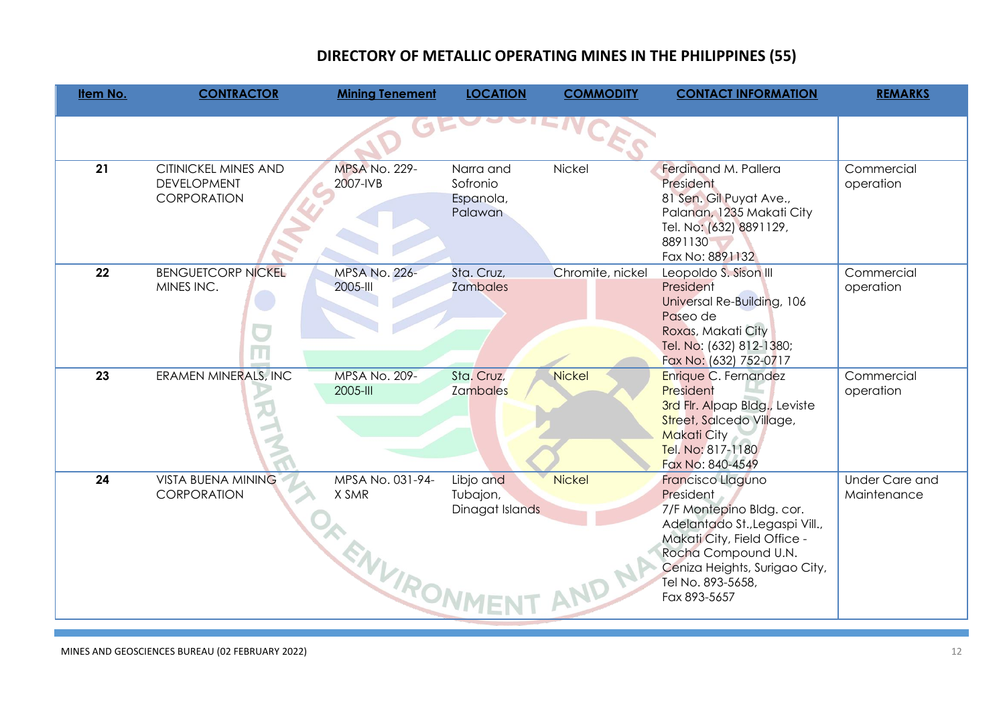| Item No. | <b>CONTRACTOR</b>                                                | <b>Mining Tenement</b>                        | <b>LOCATION</b>                               | <b>COMMODITY</b> | <b>CONTACT INFORMATION</b>                                                                                                                                                                                                      | <b>REMARKS</b>                       |
|----------|------------------------------------------------------------------|-----------------------------------------------|-----------------------------------------------|------------------|---------------------------------------------------------------------------------------------------------------------------------------------------------------------------------------------------------------------------------|--------------------------------------|
|          |                                                                  |                                               |                                               |                  |                                                                                                                                                                                                                                 |                                      |
| 21       | <b>CITINICKEL MINES AND</b><br><b>DEVELOPMENT</b><br>CORPORATION | <b>MPSA No. 229-</b><br>2007-IVB              | Narra and<br>Sofronio<br>Espanola,<br>Palawan | Nickel           | Ferdinand M. Pallera<br>President<br>81 Sen. Gil Puyat Ave.,<br>Palanan, 1235 Makati City<br>Tel. No: (632) 8891129,<br>8891130<br>Fax No: 8891132                                                                              | Commercial<br>operation              |
| 22       | <b>BENGUETCORP NICKEL</b><br>MINES INC.                          | <b>MPSA No. 226-</b><br>2005-III              | Sta. Cruz,<br><b>Zambales</b>                 | Chromite, nickel | Leopoldo S. Sison III<br>President<br>Universal Re-Building, 106<br>Paseo de<br>Roxas, Makati City<br>Tel. No: (632) 812-1380;<br>Fax No: (632) 752-0717                                                                        | Commercial<br>operation              |
| 23       | <b>ERAMEN MINERALS, INC</b>                                      | <b>MPSA No. 209-</b><br>2005-III              | Sta. Cruz,<br><b>Zambales</b>                 | <b>Nickel</b>    | Enrique C. Fernandez<br>President<br>3rd Flr. Alpap Bldg., Leviste<br>Street, Salcedo Village,<br><b>Makati City</b><br>Tel. No: 817-1180<br>Fax No: 840-4549                                                                   | Commercial<br>operation              |
| 24       | <b>VISTA BUENA MINING</b><br>CORPORATION                         | MPSA No. 031-94-<br>X SMR<br><b>KENVIRONN</b> | Libjo and<br>Tubajon,<br>Dinagat Islands      | <b>Nickel</b>    | <b>Francisco Llaguno</b><br>President<br>7/F Montepino Bldg. cor.<br>Adelantado St., Legaspi Vill.,<br>Makati City, Field Office -<br>Rocha Compound U.N.<br>Ceniza Heights, Surigao City,<br>Tel No. 893-5658,<br>Fax 893-5657 | <b>Under Care and</b><br>Maintenance |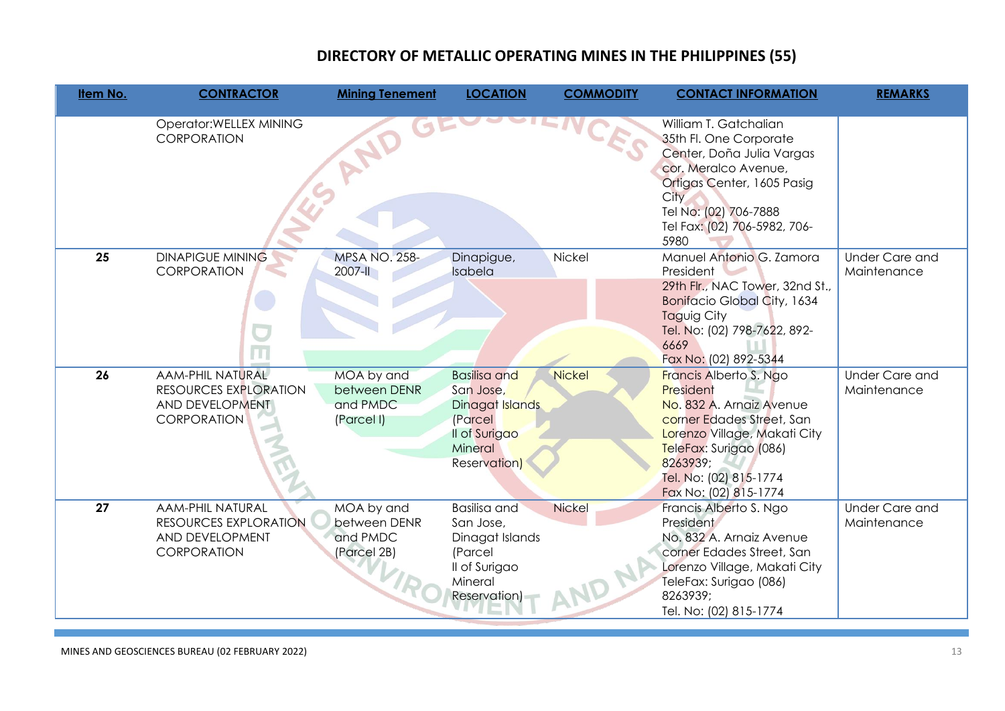| Item No. | <b>CONTRACTOR</b>                                                                                | <b>Mining Tenement</b>                                | <b>LOCATION</b>                                                                                            | <b>COMMODITY</b> | <b>CONTACT INFORMATION</b>                                                                                                                                                                                            | <b>REMARKS</b>                       |
|----------|--------------------------------------------------------------------------------------------------|-------------------------------------------------------|------------------------------------------------------------------------------------------------------------|------------------|-----------------------------------------------------------------------------------------------------------------------------------------------------------------------------------------------------------------------|--------------------------------------|
|          | Operator: WELLEX MINING<br><b>CORPORATION</b>                                                    | ANT                                                   |                                                                                                            |                  | William T. Gatchalian<br>35th Fl. One Corporate<br>Center, Doña Julia Vargas<br>cor. Meralco Avenue,<br>Ortigas Center, 1605 Pasig<br>City<br>Tel No: (02) 706-7888<br>Tel Fax: (02) 706-5982, 706-<br>5980           |                                      |
| 25       | <b>DINAPIGUE MINING</b><br><b>CORPORATION</b>                                                    | <b>MPSA NO. 258-</b><br>2007-II                       | Dinapigue,<br>Isabela                                                                                      | Nickel           | Manuel Antonio G. Zamora<br>President<br>29th Flr., NAC Tower, 32nd St.,<br><b>Bonifacio Global City, 1634</b><br><b>Taguig City</b><br>Tel. No: (02) 798-7622, 892-<br>6669<br>Fax No: (02) 892-5344                 | <b>Under Care and</b><br>Maintenance |
| 26       | <b>AAM-PHIL NATURAL</b><br><b>RESOURCES EXPLORATION</b><br>AND DEVELOPMENT<br><b>CORPORATION</b> | MOA by and<br>between DENR<br>and PMDC<br>(Parcel I)  | <b>Basilisa and</b><br>San Jose,<br>Dinagat Islands<br>(Parcel<br>Il of Surigao<br>Mineral<br>Reservation) | <b>Nickel</b>    | Francis Alberto S. Ngo<br>President<br>No. 832 A. Arnaiz Avenue<br>corner Edades Street, San<br>Lorenzo Village, Makati City<br>TeleFax: Surigao (086)<br>8263939;<br>Tel. No: (02) 815-1774<br>Fax No: (02) 815-1774 | <b>Under Care and</b><br>Maintenance |
| 27       | <b>AAM-PHIL NATURAL</b><br><b>RESOURCES EXPLORATION</b><br>AND DEVELOPMENT<br>CORPORATION        | MOA by and<br>between DENR<br>and PMDC<br>(Parcel 2B) | <b>Basilisa and</b><br>San Jose,<br>Dinagat Islands<br>(Parcel<br>Il of Surigao<br>Mineral<br>Reservation) | <b>Nickel</b>    | Francis Alberto S. Ngo<br>President<br>No. 832 A. Arnaiz Avenue<br>corner Edades Street, San<br>Lorenzo Village, Makati City<br>TeleFax: Surigao (086)<br>8263939;<br>Tel. No: (02) 815-1774                          | <b>Under Care and</b><br>Maintenance |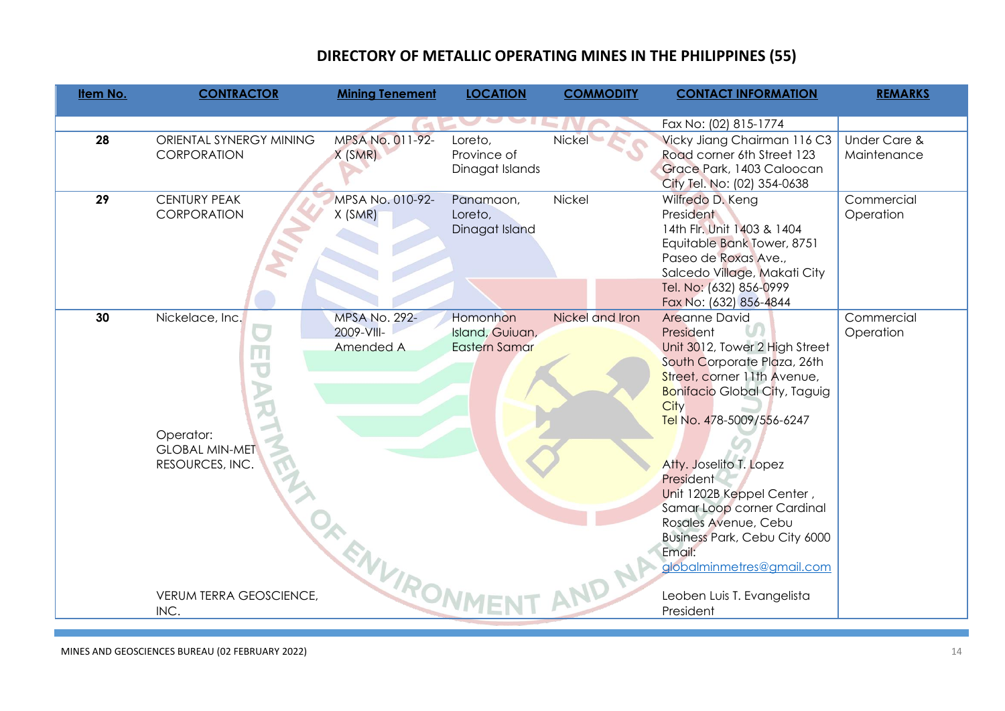| Item No. | <b>CONTRACTOR</b>              | <b>Mining Tenement</b> | <b>LOCATION</b>      | <b>COMMODITY</b> | <b>CONTACT INFORMATION</b>                              | <b>REMARKS</b>          |
|----------|--------------------------------|------------------------|----------------------|------------------|---------------------------------------------------------|-------------------------|
|          |                                |                        |                      |                  |                                                         |                         |
|          |                                |                        |                      |                  | Fax No: (02) 815-1774                                   |                         |
| 28       | ORIENTAL SYNERGY MINING        | MPSA No. 011-92-       | Loreto,              | Nickel           | Vicky Jiang Chairman 116 C3                             | <b>Under Care &amp;</b> |
|          | <b>CORPORATION</b>             | X(SMR)                 | Province of          |                  | Road corner 6th Street 123                              | Maintenance             |
|          |                                |                        | Dinagat Islands      |                  | Grace Park, 1403 Caloocan                               |                         |
|          |                                |                        |                      |                  | City Tel. No: (02) 354-0638                             |                         |
| 29       | <b>CENTURY PEAK</b>            | MPSA No. 010-92-       | Panamaon,            | Nickel           | Wilfredo D. Keng                                        | Commercial              |
|          | CORPORATION                    | X(SMR)                 | Loreto,              |                  | President                                               | Operation               |
|          |                                |                        | Dinagat Island       |                  | 14th Fir. Unit 1403 & 1404                              |                         |
|          |                                |                        |                      |                  | Equitable Bank Tower, 8751                              |                         |
|          |                                |                        |                      |                  | Paseo de Roxas Ave.,                                    |                         |
|          |                                |                        |                      |                  | Salcedo Village, Makati City<br>Tel. No: (632) 856-0999 |                         |
|          |                                |                        |                      |                  | Fax No: (632) 856-4844                                  |                         |
| 30       | Nickelace, Inc.                | <b>MPSA No. 292-</b>   | Homonhon             | Nickel and Iron  | <b>Areanne David</b>                                    | Commercial              |
|          |                                | 2009-VIII-             | Island, Guiuan,      |                  | President                                               | Operation               |
|          |                                | Amended A              | <b>Eastern Samar</b> |                  | Unit 3012, Tower 2 High Street                          |                         |
|          | ш                              |                        |                      |                  | South Corporate Plaza, 26th                             |                         |
|          | $\overline{\mathbf{U}}$        |                        |                      |                  | Street, corner 11th Avenue,                             |                         |
|          |                                |                        |                      |                  | <b>Bonifacio Global City, Taguig</b>                    |                         |
|          | 人                              |                        |                      |                  | <b>City</b>                                             |                         |
|          |                                |                        |                      |                  | Tel No. 478-5009/556-6247                               |                         |
|          | Operator:                      |                        |                      |                  |                                                         |                         |
|          | <b>GLOBAL MIN-MET</b>          |                        |                      |                  |                                                         |                         |
|          | RESOURCES, INC.                |                        |                      |                  | Atty. Joselito T. Lopez                                 |                         |
|          |                                |                        |                      |                  | President                                               |                         |
|          |                                |                        |                      |                  | Unit 1202B Keppel Center,                               |                         |
|          |                                |                        |                      |                  | Samar Loop corner Cardinal                              |                         |
|          |                                |                        |                      |                  | Rosales Avenue, Cebu                                    |                         |
|          |                                |                        |                      |                  | <b>Business Park, Cebu City 6000</b>                    |                         |
|          |                                |                        |                      |                  | Email:                                                  |                         |
|          |                                |                        |                      |                  | globalminmetres@gmail.com                               |                         |
|          | <b>VERUM TERRA GEOSCIENCE,</b> | ENVIRONT               |                      |                  | Leoben Luis T. Evangelista                              |                         |
|          | INC.                           |                        |                      |                  | President                                               |                         |
|          |                                |                        |                      |                  |                                                         |                         |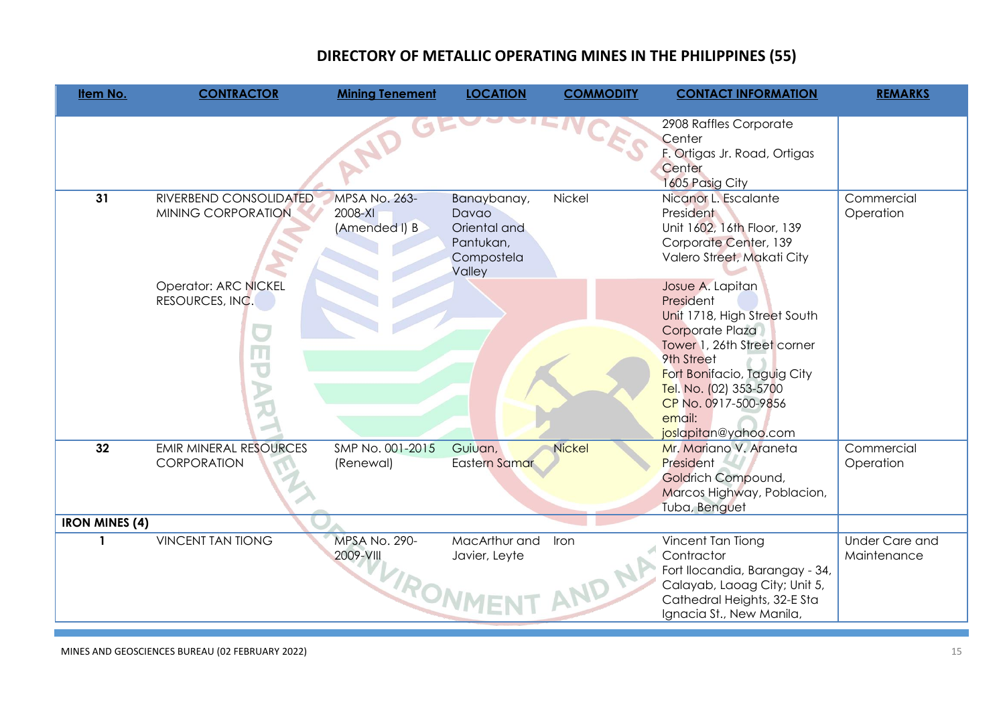| 2908 Raffles Corporate<br>Center<br>ND<br>F. Ortigas Jr. Road, Ortigas<br>Center<br>1605 Pasig City<br>31<br>RIVERBEND CONSOLIDATED<br>Nickel<br><b>MPSA No. 263-</b><br>Nicanor L. Escalante<br>Commercial<br>Banaybanay,<br>MINING CORPORATION.<br>2008-XI<br>President<br>Operation<br>Davao<br>Unit 1602, 16th Floor, 139<br>(Amended I) B<br>Oriental and<br>Corporate Center, 139<br>Pantukan,<br>Compostela<br>Valero Street, Makati City<br>Valley<br>Josue A. Lapitan<br><b>Operator: ARC NICKEL</b><br>RESOURCES, INC.<br>President<br>Unit 1718, High Street South<br>Corporate Plaza<br>Tower 1, 26th Street corner<br>m<br>9th Street<br>$\overline{\mathbf{U}}$<br>Fort Bonifacio, Taguig City<br>$\mathcal{P}$<br>Tel. No. (02) 353-5700<br>CP No. 0917-500-9856<br>$\overline{\lambda}$<br>email:<br>joslapitan@yahoo.com<br>32<br><b>EMIR MINERAL RESOURCES</b><br>SMP No. 001-2015<br>Guiuan,<br>Mr. Mariano V. Araneta<br>Commercial<br><b>Nickel</b><br>CORPORATION<br><b>Eastern Samar</b><br>President<br>Operation<br>(Renewal)<br>Goldrich Compound,<br>Marcos Highway, Poblacion,<br>Tuba, Benguet<br><b>IRON MINES (4)</b><br><b>VINCENT TAN TIONG</b><br>MPSA No. 290-<br><b>Under Care and</b><br>MacArthur and<br>Vincent Tan Tiong<br>Iron<br>2009-VIII<br>Contractor<br>Javier, Leyte<br>Maintenance<br>Fort Ilocandia, Barangay - 34,<br><b>VIRON</b><br>Calayab, Laoag City; Unit 5,<br>Cathedral Heights, 32-E Sta | Item No. | <b>CONTRACTOR</b> | <b>Mining Tenement</b> | <b>LOCATION</b> | <b>COMMODITY</b> | <b>CONTACT INFORMATION</b> | <b>REMARKS</b> |
|------------------------------------------------------------------------------------------------------------------------------------------------------------------------------------------------------------------------------------------------------------------------------------------------------------------------------------------------------------------------------------------------------------------------------------------------------------------------------------------------------------------------------------------------------------------------------------------------------------------------------------------------------------------------------------------------------------------------------------------------------------------------------------------------------------------------------------------------------------------------------------------------------------------------------------------------------------------------------------------------------------------------------------------------------------------------------------------------------------------------------------------------------------------------------------------------------------------------------------------------------------------------------------------------------------------------------------------------------------------------------------------------------------------------------------------------------|----------|-------------------|------------------------|-----------------|------------------|----------------------------|----------------|
|                                                                                                                                                                                                                                                                                                                                                                                                                                                                                                                                                                                                                                                                                                                                                                                                                                                                                                                                                                                                                                                                                                                                                                                                                                                                                                                                                                                                                                                      |          |                   |                        |                 |                  |                            |                |
|                                                                                                                                                                                                                                                                                                                                                                                                                                                                                                                                                                                                                                                                                                                                                                                                                                                                                                                                                                                                                                                                                                                                                                                                                                                                                                                                                                                                                                                      |          |                   |                        |                 |                  |                            |                |
|                                                                                                                                                                                                                                                                                                                                                                                                                                                                                                                                                                                                                                                                                                                                                                                                                                                                                                                                                                                                                                                                                                                                                                                                                                                                                                                                                                                                                                                      |          |                   |                        |                 |                  |                            |                |
|                                                                                                                                                                                                                                                                                                                                                                                                                                                                                                                                                                                                                                                                                                                                                                                                                                                                                                                                                                                                                                                                                                                                                                                                                                                                                                                                                                                                                                                      |          |                   |                        |                 |                  |                            |                |
|                                                                                                                                                                                                                                                                                                                                                                                                                                                                                                                                                                                                                                                                                                                                                                                                                                                                                                                                                                                                                                                                                                                                                                                                                                                                                                                                                                                                                                                      |          |                   |                        |                 |                  |                            |                |
|                                                                                                                                                                                                                                                                                                                                                                                                                                                                                                                                                                                                                                                                                                                                                                                                                                                                                                                                                                                                                                                                                                                                                                                                                                                                                                                                                                                                                                                      |          |                   |                        |                 |                  | Ignacia St., New Manila,   |                |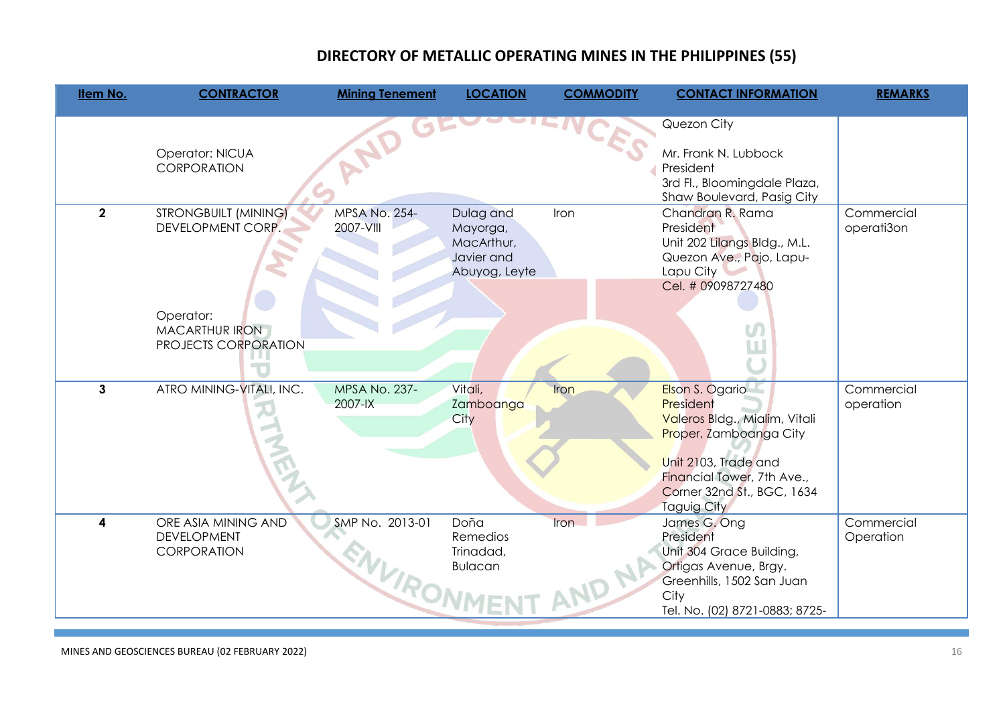| Item No.     | <b>CONTRACTOR</b>                                                                                              | <b>Mining Tenement</b>            | <b>LOCATION</b>                                                    | <b>COMMODITY</b> | <b>CONTACT INFORMATION</b>                                                                                                                                                                        | <b>REMARKS</b>           |
|--------------|----------------------------------------------------------------------------------------------------------------|-----------------------------------|--------------------------------------------------------------------|------------------|---------------------------------------------------------------------------------------------------------------------------------------------------------------------------------------------------|--------------------------|
|              | Operator: NICUA<br><b>CORPORATION</b>                                                                          | AND                               |                                                                    |                  | Quezon City<br>Mr. Frank N. Lubbock<br>President<br>3rd Fl., Bloomingdale Plaza,<br>Shaw Boulevard, Pasig City                                                                                    |                          |
| $\mathbf{2}$ | <b>STRONGBUILT (MINING)</b><br>DEVELOPMENT CORP.<br>Operator:<br><b>MACARTHUR IRON</b><br>PROJECTS CORPORATION | <b>MPSA No. 254-</b><br>2007-VIII | Dulag and<br>Mayorga,<br>MacArthur,<br>Javier and<br>Abuyog, Leyte | Iron             | Chandran R. Rama<br>President<br>Unit 202 Lilangs Bldg., M.L.<br>Quezon Ave., Pajo, Lapu-<br>Lapu City<br>Cel. # 09098727480                                                                      | Commercial<br>operati3on |
| 3            | ATRO MINING-VITALI, INC.                                                                                       | <b>MPSA No. 237-</b><br>2007-IX   | Vitali,<br>Zamboanga<br>City                                       | Iron             | Elson S. Ogario<br>President<br>Valeros Bldg., Mialim, Vitali<br>Proper, Zamboanga City<br>Unit 2103, Trade and<br>Financial Tower, 7th Ave.,<br>Corner 32nd St., BGC, 1634<br><b>Taguig City</b> | Commercial<br>operation  |
| 4            | ORE ASIA MINING AND<br><b>DEVELOPMENT</b><br><b>CORPORATION</b>                                                | SMP No. 2013-01<br>ENVIRO'        | Doña<br>Remedios<br>Trinadad,<br><b>Bulacan</b>                    | Iron             | James G. Ong<br>President<br>Unit 304 Grace Building,<br>Ortigas Avenue, Brgy.<br>Greenhills, 1502 San Juan<br>City<br>Tel. No. (02) 8721-0883; 8725-                                             | Commercial<br>Operation  |